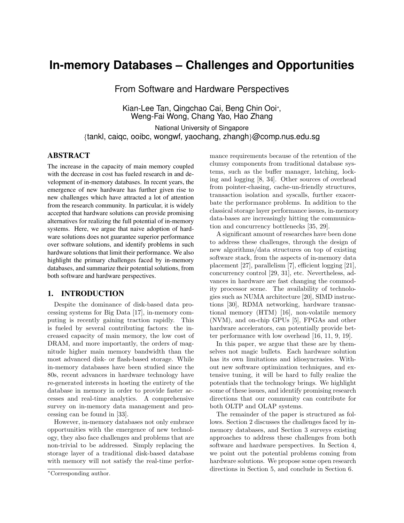# **In-memory Databases – Challenges and Opportunities**

From Software and Hardware Perspectives

Kian-Lee Tan, Qingchao Cai, Beng Chin Ooi<sup>∗</sup> , Weng-Fai Wong, Chang Yao, Hao Zhang

National University of Singapore {tankl, caiqc, ooibc, wongwf, yaochang, zhangh}@comp.nus.edu.sg

#### ABSTRACT

The increase in the capacity of main memory coupled with the decrease in cost has fueled research in and development of in-memory databases. In recent years, the emergence of new hardware has further given rise to new challenges which have attracted a lot of attention from the research community. In particular, it is widely accepted that hardware solutions can provide promising alternatives for realizing the full potential of in-memory systems. Here, we argue that naive adoption of hardware solutions does not guarantee superior performance over software solutions, and identify problems in such hardware solutions that limit their performance. We also highlight the primary challenges faced by in-memory databases, and summarize their potential solutions, from both software and hardware perspectives.

#### 1. INTRODUCTION

Despite the dominance of disk-based data processing systems for Big Data [17], in-memory computing is recently gaining traction rapidly. This is fueled by several contributing factors: the increased capacity of main memory, the low cost of DRAM, and more importantly, the orders of magnitude higher main memory bandwidth than the most advanced disk- or flash-based storage. While in-memory databases have been studied since the 80s, recent advances in hardware technology have re-generated interests in hosting the entirety of the database in memory in order to provide faster accesses and real-time analytics. A comprehensive survey on in-memory data management and processing can be found in [33].

However, in-memory databases not only embrace opportunities with the emergence of new technology, they also face challenges and problems that are non-trivial to be addressed. Simply replacing the storage layer of a traditional disk-based database with memory will not satisfy the real-time performance requirements because of the retention of the clumsy components from traditional database systems, such as the buffer manager, latching, locking and logging [8, 34]. Other sources of overhead from pointer-chasing, cache-un-friendly structures, transaction isolation and syscalls, further exacerbate the performance problems. In addition to the classical storage layer performance issues, in-memory data-bases are increasingly hitting the communication and concurrency bottlenecks [35, 29].

A significant amount of researches have been done to address these challenges, through the design of new algorithms/data structures on top of existing software stack, from the aspects of in-memory data placement [27], parallelism [7], efficient logging [21], concurrency control [29, 31], etc. Nevertheless, advances in hardware are fast changing the commodity processor scene. The availability of technologies such as NUMA architecture [20], SIMD instructions [30], RDMA networking, hardware transactional memory (HTM) [16], non-volatile memory (NVM), and on-chip GPUs [5], FPGAs and other hardware accelerators, can potentially provide better performance with low overhead [16, 11, 9, 19].

In this paper, we argue that these are by themselves not magic bullets. Each hardware solution has its own limitations and idiosyncrasies. Without new software optimization techniques, and extensive tuning, it will be hard to fully realize the potentials that the technology brings. We highlight some of these issues, and identify promising research directions that our community can contribute for both OLTP and OLAP systems.

The remainder of the paper is structured as follows. Section 2 discusses the challenges faced by inmemory databases, and Section 3 surveys existing approaches to address these challenges from both software and hardware perspectives. In Section 4, we point out the potential problems coming from hardware solutions. We propose some open research directions in Section 5, and conclude in Section 6.

<sup>∗</sup>Corresponding author.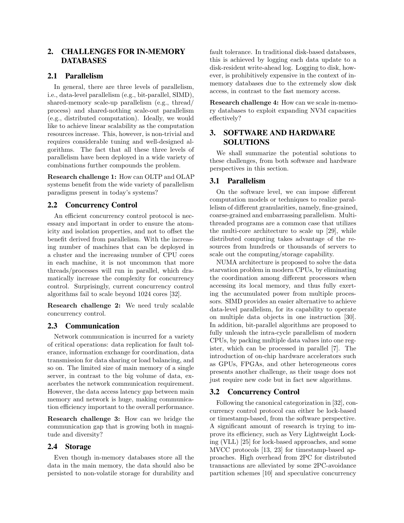# 2. CHALLENGES FOR IN-MEMORY DATABASES

## 2.1 Parallelism

In general, there are three levels of parallelism, i.e., data-level parallelism (e.g., bit-parallel, SIMD), shared-memory scale-up parallelism (e.g., thread/ process) and shared-nothing scale-out parallelism (e.g., distributed computation). Ideally, we would like to achieve linear scalability as the computation resources increase. This, however, is non-trivial and requires considerable tuning and well-designed algorithms. The fact that all these three levels of parallelism have been deployed in a wide variety of combinations further compounds the problem.

Research challenge 1: How can OLTP and OLAP systems benefit from the wide variety of parallelism paradigms present in today's systems?

## 2.2 Concurrency Control

An efficient concurrency control protocol is necessary and important in order to ensure the atomicity and isolation properties, and not to offset the benefit derived from parallelism. With the increasing number of machines that can be deployed in a cluster and the increasing number of CPU cores in each machine, it is not uncommon that more threads/processes will run in parallel, which dramatically increase the complexity for concurrency control. Surprisingly, current concurrency control algorithms fail to scale beyond 1024 cores [32].

Research challenge 2: We need truly scalable concurrency control.

## 2.3 Communication

Network communication is incurred for a variety of critical operations: data replication for fault tolerance, information exchange for coordination, data transmission for data sharing or load balancing, and so on. The limited size of main memory of a single server, in contrast to the big volume of data, exacerbates the network communication requirement. However, the data access latency gap between main memory and network is huge, making communication efficiency important to the overall performance.

Research challenge 3: How can we bridge the communication gap that is growing both in magnitude and diversity?

#### 2.4 Storage

Even though in-memory databases store all the data in the main memory, the data should also be persisted to non-volatile storage for durability and

fault tolerance. In traditional disk-based databases, this is achieved by logging each data update to a disk-resident write-ahead log. Logging to disk, however, is prohibitively expensive in the context of inmemory databases due to the extremely slow disk access, in contrast to the fast memory access.

Research challenge 4: How can we scale in-memory databases to exploit expanding NVM capacities effectively?

# 3. SOFTWARE AND HARDWARE SOLUTIONS

We shall summarize the potential solutions to these challenges, from both software and hardware perspectives in this section.

#### 3.1 Parallelism

On the software level, we can impose different computation models or techniques to realize parallelism of different granularities, namely, fine-grained, coarse-grained and embarrassing parallelism. Multithreaded programs are a common case that utilizes the multi-core architecture to scale up [29], while distributed computing takes advantage of the resources from hundreds or thousands of servers to scale out the computing/storage capability.

NUMA architecture is proposed to solve the data starvation problem in modern CPUs, by eliminating the coordination among different processors when accessing its local memory, and thus fully exerting the accumulated power from multiple processors. SIMD provides an easier alternative to achieve data-level parallelism, for its capability to operate on multiple data objects in one instruction [30]. In addition, bit-parallel algorithms are proposed to fully unleash the intra-cycle parallelism of modern CPUs, by packing multiple data values into one register, which can be processed in parallel [7]. The introduction of on-chip hardware accelerators such as GPUs, FPGAs, and other heterogeneous cores presents another challenge, as their usage does not just require new code but in fact new algorithms.

## 3.2 Concurrency Control

Following the canonical categorization in [32], concurrency control protocol can either be lock-based or timestamp-based, from the software perspective. A significant amount of research is trying to improve its efficiency, such as Very Lightweight Locking (VLL) [25] for lock-based approaches, and some MVCC protocols [13, 23] for timestamp-based approaches. High overhead from 2PC for distributed transactions are alleviated by some 2PC-avoidance partition schemes [10] and speculative concurrency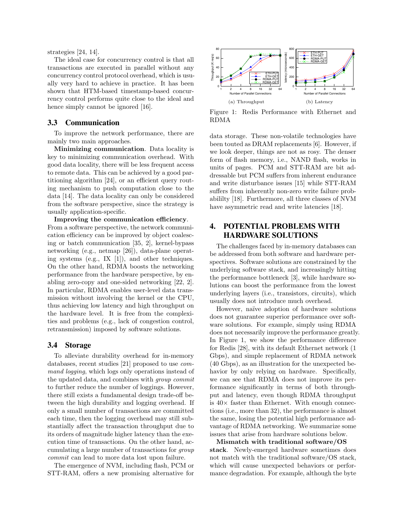strategies [24, 14].

The ideal case for concurrency control is that all transactions are executed in parallel without any concurrency control protocol overhead, which is usually very hard to achieve in practice. It has been shown that HTM-based timestamp-based concurrency control performs quite close to the ideal and hence simply cannot be ignored [16].

#### 3.3 Communication

To improve the network performance, there are mainly two main approaches.

Minimizing communication. Data locality is key to minimizing communication overhead. With good data locality, there will be less frequent access to remote data. This can be achieved by a good partitioning algorithm [24], or an efficient query routing mechanism to push computation close to the data [14]. The data locality can only be considered from the software perspective, since the strategy is usually application-specific.

Improving the communication efficiency. From a software perspective, the network communication efficiency can be improved by object coalescing or batch communication [35, 2], kernel-bypass networking (e.g., netmap [26]), data-plane operating systems (e.g., IX [1]), and other techniques. On the other hand, RDMA boosts the networking performance from the hardware perspective, by enabling zero-copy and one-sided networking [22, 2]. In particular, RDMA enables user-level data transmission without involving the kernel or the CPU, thus achieving low latency and high throughput on the hardware level. It is free from the complexities and problems (e.g., lack of congestion control, retransmission) imposed by software solutions.

#### 3.4 Storage

To alleviate durability overhead for in-memory databases, recent studies [21] proposed to use command logging, which logs only operations instead of the updated data, and combines with group commit to further reduce the number of loggings. However, there still exists a fundamental design trade-off between the high durability and logging overhead. If only a small number of transactions are committed each time, then the logging overhead may still substantially affect the transaction throughput due to its orders of magnitude higher latency than the execution time of transactions. On the other hand, accumulating a large number of transactions for group commit can lead to more data lost upon failure.

The emergence of NVM, including flash, PCM or STT-RAM, offers a new promising alternative for



Figure 1: Redis Performance with Ethernet and RDMA

data storage. These non-volatile technologies have been touted as DRAM replacements [6]. However, if we look deeper, things are not as rosy. The denser form of flash memory, i.e., NAND flash, works in units of pages. PCM and STT-RAM are bit addressable but PCM suffers from inherent endurance and write disturbance issues [15] while STT-RAM suffers from inherently non-zero write failure probabililty [18]. Furthermore, all three classes of NVM have asymmetric read and write latencies [18].

# 4. POTENTIAL PROBLEMS WITH HARDWARE SOLUTIONS

The challenges faced by in-memory databases can be addressed from both software and hardware perspectives. Software solutions are constrained by the underlying software stack, and increasingly hitting the performance bottleneck [3], while hardware solutions can boost the performance from the lowest underlying layers (i.e., transistors, circuits), which usually does not introduce much overhead.

However, naïve adoption of hardware solutions does not guarantee superior performance over software solutions. For example, simply using RDMA does not necessarily improve the performance greatly. In Figure 1, we show the performance difference for Redis [28], with its default Ethernet network (1 Gbps), and simple replacement of RDMA network (40 Gbps), as an illustration for the unexpected behavior by only relying on hardware. Specifically, we can see that RDMA does not improve its performance significantly in terms of both throughput and latency, even though RDMA throughput is  $40\times$  faster than Ethernet. With enough connections (i.e., more than 32), the performance is almost the same, losing the potential high performance advantage of RDMA networking. We summarize some issues that arise from hardware solutions below.

Mismatch with traditional software/OS stack. Newly-emerged hardware sometimes does not match with the traditional software/OS stack, which will cause unexpected behaviors or performance degradation. For example, although the byte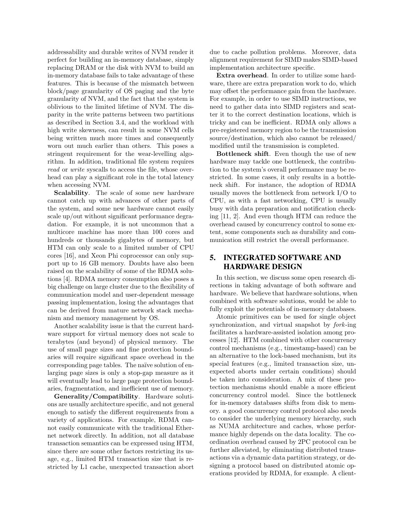addressability and durable writes of NVM render it perfect for building an in-memory database, simply replacing DRAM or the disk with NVM to build an in-memory database fails to take advantage of these features. This is because of the mismatch between block/page granularity of OS paging and the byte granularity of NVM, and the fact that the system is oblivious to the limited lifetime of NVM. The disparity in the write patterns between two partitions as described in Section 3.4, and the workload with high write skewness, can result in some NVM cells being written much more times and consequently worn out much earlier than others. This poses a stringent requirement for the wear-levelling algorithm. In addition, traditional file system requires read or write syscalls to access the file, whose overhead can play a significant role in the total latency when accessing NVM.

Scalability. The scale of some new hardware cannot catch up with advances of other parts of the system, and some new hardware cannot easily scale up/out without significant performance degradation. For example, it is not uncommon that a multicore machine has more than 100 cores and hundreds or thousands gigabytes of memory, but HTM can only scale to a limited number of CPU cores [16], and Xeon Phi coprocessor can only support up to 16 GB memory. Doubts have also been raised on the scalability of some of the RDMA solutions [4]. RDMA memory consumption also poses a big challenge on large cluster due to the flexibility of communication model and user-dependent message passing implementation, losing the advantages that can be derived from mature network stack mechanism and memory management by OS.

Another scalability issue is that the current hardware support for virtual memory does not scale to terabytes (and beyond) of physical memory. The use of small page sizes and fine protection boundaries will require significant space overhead in the corresponding page tables. The naïve solution of enlarging page sizes is only a stop-gap measure as it will eventually lead to large page protection boundaries, fragmentation, and inefficient use of memory.

Generality/Compatibility. Hardware solutions are usually architecture specific, and not general enough to satisfy the different requirements from a variety of applications. For example, RDMA cannot easily communicate with the traditional Ethernet network directly. In addition, not all database transaction semantics can be expressed using HTM, since there are some other factors restricting its usage, e.g., limited HTM transaction size that is restricted by L1 cache, unexpected transaction abort

due to cache pollution problems. Moreover, data alignment requirement for SIMD makes SIMD-based implementation architecture specific.

Extra overhead. In order to utilize some hardware, there are extra preparation work to do, which may offset the performance gain from the hardware. For example, in order to use SIMD instructions, we need to gather data into SIMD registers and scatter it to the correct destination locations, which is tricky and can be inefficient. RDMA only allows a pre-registered memory region to be the transmission source/destination, which also cannot be released/ modified until the transmission is completed.

Bottleneck shift. Even though the use of new hardware may tackle one bottleneck, the contribution to the system's overall performance may be restricted. In some cases, it only results in a bottleneck shift. For instance, the adoption of RDMA usually moves the bottleneck from network I/O to CPU, as with a fast networking, CPU is usually busy with data preparation and notification checking [11, 2]. And even though HTM can reduce the overhead caused by concurrency control to some extent, some components such as durability and communication still restrict the overall performance.

# 5. INTEGRATED SOFTWARE AND HARDWARE DESIGN

In this section, we discuss some open research directions in taking advantage of both software and hardware. We believe that hardware solutions, when combined with software solutions, would be able to fully exploit the potentials of in-memory databases.

Atomic primitives can be used for single object synchronization, and virtual snapshot by fork-ing facilitates a hardware-assisted isolation among processes [12]. HTM combined with other concurrency control mechanisms (e.g., timestamp-based) can be an alternative to the lock-based mechanism, but its special features (e.g., limited transaction size, unexpected aborts under certain conditions) should be taken into consideration. A mix of these protection mechanisms should enable a more efficient concurrency control model. Since the bottleneck for in-memory databases shifts from disk to memory. a good concurrency control protocol also needs to consider the underlying memory hierarchy, such as NUMA architecture and caches, whose performance highly depends on the data locality. The coordination overhead caused by 2PC protocol can be further alleviated, by eliminating distributed transactions via a dynamic data partition strategy, or designing a protocol based on distributed atomic operations provided by RDMA, for example. A client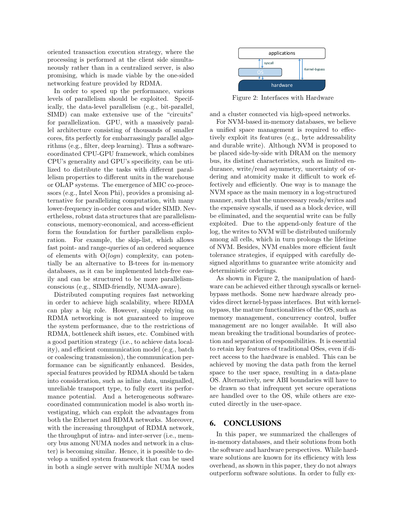oriented transaction execution strategy, where the processing is performed at the client side simultaneously rather than in a centralized server, is also promising, which is made viable by the one-sided networking feature provided by RDMA.

In order to speed up the performance, various levels of parallelism should be exploited. Specifically, the data-level parallelism (e.g., bit-parallel, SIMD) can make extensive use of the "circuits" for parallelization. GPU, with a massively parallel architecture consisting of thousands of smaller cores, fits perfectly for embarrassingly parallel algorithms (e.g., filter, deep learning). Thus a softwarecoordinated CPU-GPU framework, which combines CPU's generality and GPU's specificity, can be utilized to distribute the tasks with different parallelism properties to different units in the warehouse or OLAP systems. The emergence of MIC co-processors (e.g., Intel Xeon Phi), provides a promising alternative for parallelizing computation, with many lower-frequency in-order cores and wider SIMD. Nevertheless, robust data structures that are parallelismconscious, memory-economical, and access-efficient form the foundation for further parallelism exploration. For example, the skip-list, which allows fast point- and range-queries of an ordered sequence of elements with  $O(logn)$  complexity, can potentially be an alternative to B-trees for in-memory databases, as it can be implemented latch-free easily and can be structured to be more parallelismconscious (e.g., SIMD-friendly, NUMA-aware).

Distributed computing requires fast networking in order to achieve high scalability, where RDMA can play a big role. However, simply relying on RDMA networking is not guaranteed to improve the system performance, due to the restrictions of RDMA, bottleneck shift issues, etc. Combined with a good partition strategy (i.e., to achieve data locality), and efficient communication model (e.g., batch or coalescing transmission), the communication performance can be significantly enhanced. Besides, special features provided by RDMA should be taken into consideration, such as inline data, unsignalled, unreliable transport type, to fully exert its performance potential. And a heterogeneous softwarecoordinated communication model is also worth investigating, which can exploit the advantages from both the Ethernet and RDMA networks. Moreover, with the increasing throughput of RDMA network, the throughput of intra- and inter-server (i.e., memory bus among NUMA nodes and network in a cluster) is becoming similar. Hence, it is possible to develop a unified system framework that can be used in both a single server with multiple NUMA nodes



Figure 2: Interfaces with Hardware

and a cluster connected via high-speed networks.

For NVM-based in-memory databases, we believe a unified space management is required to effectively exploit its features (e.g., byte addressability and durable write). Although NVM is proposed to be placed side-by-side with DRAM on the memory bus, its distinct characteristics, such as limited endurance, write/read asymmetry, uncertainty of ordering and atomicity make it difficult to work effectively and efficiently. One way is to manage the NVM space as the main memory in a log-structured manner, such that the unnecessary reads/writes and the expensive syscalls, if used as a block device, will be eliminated, and the sequential write can be fully exploited. Due to the append-only feature of the log, the writes to NVM will be distributed uniformly among all cells, which in turn prolongs the lifetime of NVM. Besides, NVM enables more efficient fault tolerance strategies, if equipped with carefully designed algorithms to guarantee write atomicity and deterministic orderings.

As shown in Figure 2, the manipulation of hardware can be achieved either through syscalls or kernelbypass methods. Some new hardware already provides direct kernel-bypass interfaces. But with kernelbypass, the mature functionalities of the OS, such as memory management, concurrency control, buffer management are no longer available. It will also mean breaking the traditional boundaries of protection and separation of responsibilities. It is essential to retain key features of traditional OSes, even if direct access to the hardware is enabled. This can be achieved by moving the data path from the kernel space to the user space, resulting in a data-plane OS. Alternatively, new ABI boundaries will have to be drawn so that infrequent yet secure operations are handled over to the OS, while others are executed directly in the user-space.

#### 6. CONCLUSIONS

In this paper, we summarized the challenges of in-memory databases, and their solutions from both the software and hardware perspectives. While hardware solutions are known for its efficiency with less overhead, as shown in this paper, they do not always outperform software solutions. In order to fully ex